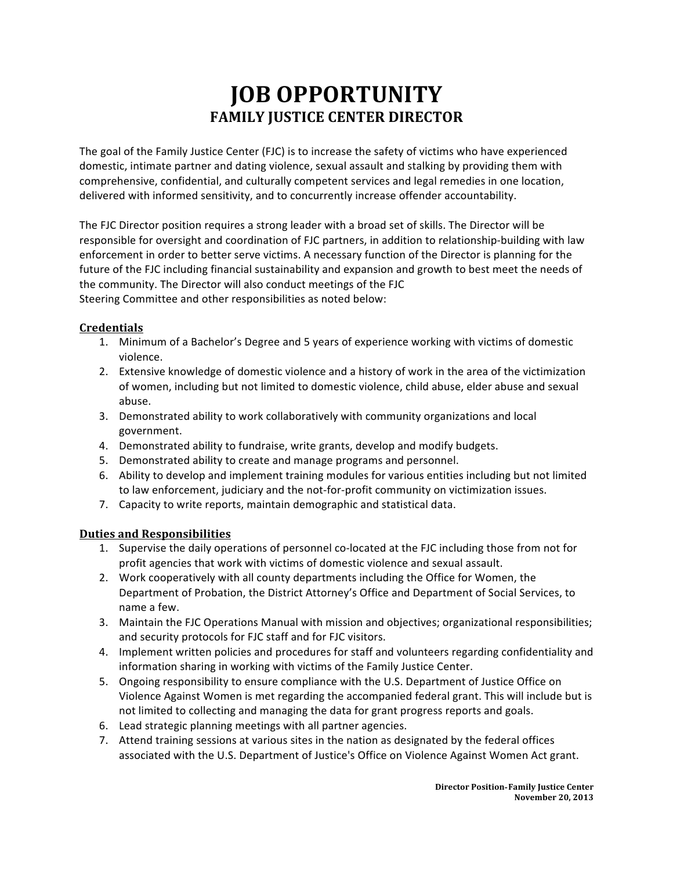# **JOB OPPORTUNITY FAMILY JUSTICE CENTER DIRECTOR**

The goal of the Family Justice Center (FJC) is to increase the safety of victims who have experienced domestic, intimate partner and dating violence, sexual assault and stalking by providing them with comprehensive, confidential, and culturally competent services and legal remedies in one location, delivered with informed sensitivity, and to concurrently increase offender accountability.

The FJC Director position requires a strong leader with a broad set of skills. The Director will be responsible for oversight and coordination of FJC partners, in addition to relationship-building with law enforcement in order to better serve victims. A necessary function of the Director is planning for the future of the FJC including financial sustainability and expansion and growth to best meet the needs of the community. The Director will also conduct meetings of the FJC Steering Committee and other responsibilities as noted below:

#### **Credentials**

- 1. Minimum of a Bachelor's Degree and 5 years of experience working with victims of domestic violence.
- 2. Extensive knowledge of domestic violence and a history of work in the area of the victimization of women, including but not limited to domestic violence, child abuse, elder abuse and sexual abuse.
- 3. Demonstrated ability to work collaboratively with community organizations and local government.
- 4. Demonstrated ability to fundraise, write grants, develop and modify budgets.
- 5. Demonstrated ability to create and manage programs and personnel.
- 6. Ability to develop and implement training modules for various entities including but not limited to law enforcement, judiciary and the not-for-profit community on victimization issues.
- 7. Capacity to write reports, maintain demographic and statistical data.

#### **Duties and Responsibilities**

- 1. Supervise the daily operations of personnel co-located at the FJC including those from not for profit agencies that work with victims of domestic violence and sexual assault.
- 2. Work cooperatively with all county departments including the Office for Women, the Department of Probation, the District Attorney's Office and Department of Social Services, to name a few.
- 3. Maintain the FJC Operations Manual with mission and objectives; organizational responsibilities; and security protocols for FJC staff and for FJC visitors.
- 4. Implement written policies and procedures for staff and volunteers regarding confidentiality and information sharing in working with victims of the Family Justice Center.
- 5. Ongoing responsibility to ensure compliance with the U.S. Department of Justice Office on Violence Against Women is met regarding the accompanied federal grant. This will include but is not limited to collecting and managing the data for grant progress reports and goals.
- 6. Lead strategic planning meetings with all partner agencies.
- 7. Attend training sessions at various sites in the nation as designated by the federal offices associated with the U.S. Department of Justice's Office on Violence Against Women Act grant.